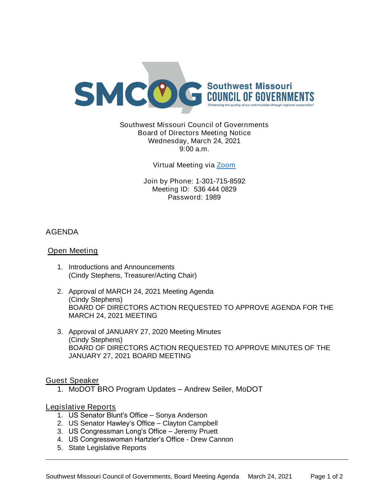

Southwest Missouri Council of Governments Board of Directors Meeting Notice Wednesday, March 24, 2021 9:00 a.m.

Virtual Meeting via [Zoom](https://missouristate.zoom.us/j/5364440829?pwd=MlUzbmJKSXllVENpRndadjlEMThmZz09)

Join by Phone: 1-301-715-8592 Meeting ID: 536 444 0829 Password: 1989

# AGENDA

### Open Meeting

- 1. Introductions and Announcements (Cindy Stephens, Treasurer/Acting Chair)
- 2. Approval of MARCH 24, 2021 Meeting Agenda (Cindy Stephens) BOARD OF DIRECTORS ACTION REQUESTED TO APPROVE AGENDA FOR THE MARCH 24, 2021 MEETING
- 3. Approval of JANUARY 27, 2020 Meeting Minutes (Cindy Stephens) BOARD OF DIRECTORS ACTION REQUESTED TO APPROVE MINUTES OF THE JANUARY 27, 2021 BOARD MEETING

Guest Speaker

1. MoDOT BRO Program Updates – Andrew Seiler, MoDOT

## Legislative Reports

- 1. US Senator Blunt's Office Sonya Anderson
- 2. US Senator Hawley's Office Clayton Campbell
- 3. US Congressman Long's Office Jeremy Pruett
- 4. US Congresswoman Hartzler's Office Drew Cannon
- 5. State Legislative Reports